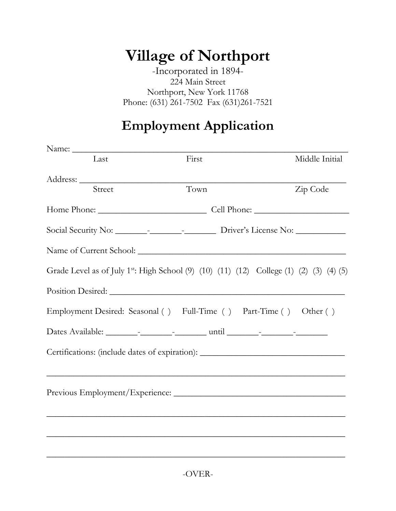## **Village of Northport**

-Incorporated in 1894- 224 Main Street Northport, New York 11768 Phone: (631) 261-7502 Fax (631)261-7521

## **Employment Application**

| Last   | First |                                                                                                                  | Middle Initial                                                                                      |
|--------|-------|------------------------------------------------------------------------------------------------------------------|-----------------------------------------------------------------------------------------------------|
|        |       |                                                                                                                  |                                                                                                     |
| Street | Town  |                                                                                                                  | Zip Code                                                                                            |
|        |       |                                                                                                                  |                                                                                                     |
|        |       |                                                                                                                  |                                                                                                     |
|        |       |                                                                                                                  |                                                                                                     |
|        |       |                                                                                                                  | Grade Level as of July 1 <sup>st</sup> : High School (9) (10) (11) (12) College (1) (2) (3) (4) (5) |
|        |       |                                                                                                                  |                                                                                                     |
|        |       | Employment Desired: Seasonal () Full-Time () Part-Time () Other ()                                               |                                                                                                     |
|        |       |                                                                                                                  |                                                                                                     |
|        |       |                                                                                                                  | Certifications: (include dates of expiration): _________________________________                    |
|        |       |                                                                                                                  |                                                                                                     |
|        |       |                                                                                                                  | Previous Employment/Experience:                                                                     |
|        |       | and the control of the control of the control of the control of the control of the control of the control of the |                                                                                                     |
|        |       |                                                                                                                  |                                                                                                     |
|        |       |                                                                                                                  |                                                                                                     |
|        |       |                                                                                                                  |                                                                                                     |